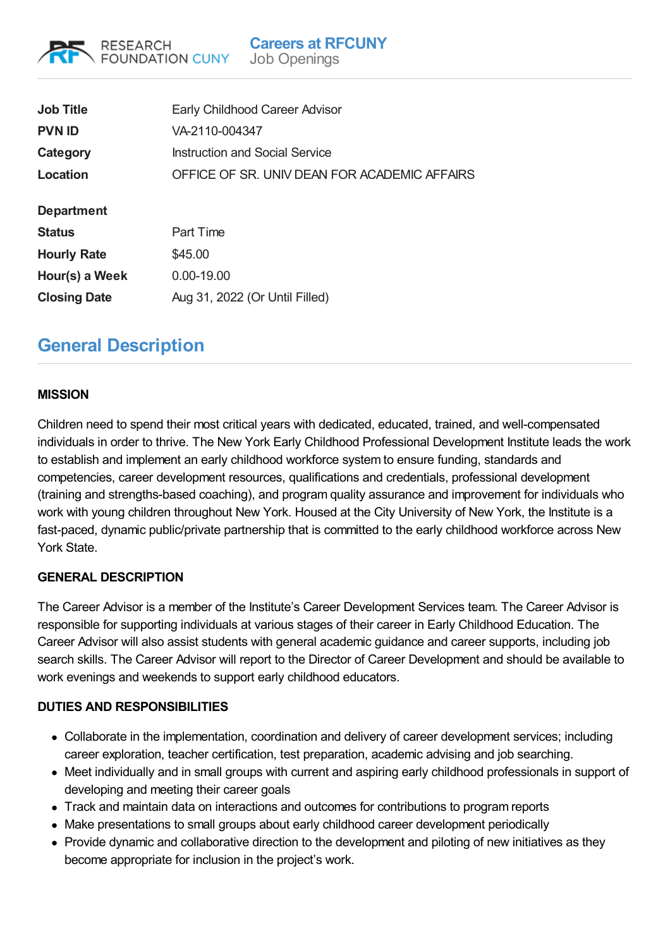

**Careers at RFCUNY** Job Openings

| <b>Job Title</b><br><b>PVN ID</b><br>Category | Early Childhood Career Advisor<br>VA-2110-004347<br><b>Instruction and Social Service</b> |
|-----------------------------------------------|-------------------------------------------------------------------------------------------|
| Location                                      | OFFICE OF SR. UNIV DEAN FOR ACADEMIC AFFAIRS                                              |
| <b>Department</b>                             |                                                                                           |
| <b>Status</b>                                 | Part Time                                                                                 |
| <b>Hourly Rate</b>                            | \$45.00                                                                                   |
| Hour(s) a Week                                | $0.00 - 19.00$                                                                            |
| <b>Closing Date</b>                           | Aug 31, 2022 (Or Until Filled)                                                            |

## **General Description**

#### **MISSION**

Children need to spend their most critical years with dedicated, educated, trained, and well-compensated individuals in order to thrive. The New York Early Childhood Professional Development Institute leads the work to establish and implement an early childhood workforce system to ensure funding, standards and competencies, career development resources, qualifications and credentials, professional development (training and strengths-based coaching), and program quality assurance and improvement for individuals who work with young children throughout New York. Housed at the City University of New York, the Institute is a fast-paced, dynamic public/private partnership that is committed to the early childhood workforce across New York State.

#### **GENERAL DESCRIPTION**

The Career Advisor is a member of the Institute's Career Development Services team. The Career Advisor is responsible for supporting individuals at various stages of their career in Early Childhood Education. The Career Advisor will also assist students with general academic guidance and career supports, including job search skills. The Career Advisor will report to the Director of Career Development and should be available to work evenings and weekends to support early childhood educators.

## **DUTIES AND RESPONSIBILITIES**

- Collaborate in the implementation, coordination and delivery of career development services; including career exploration, teacher certification, test preparation, academic advising and job searching.
- Meet individually and in small groups with current and aspiring early childhood professionals in support of developing and meeting their career goals
- Track and maintain data on interactions and outcomes for contributions to program reports
- Make presentations to small groups about early childhood career development periodically
- Provide dynamic and collaborative direction to the development and piloting of new initiatives as they become appropriate for inclusion in the project's work.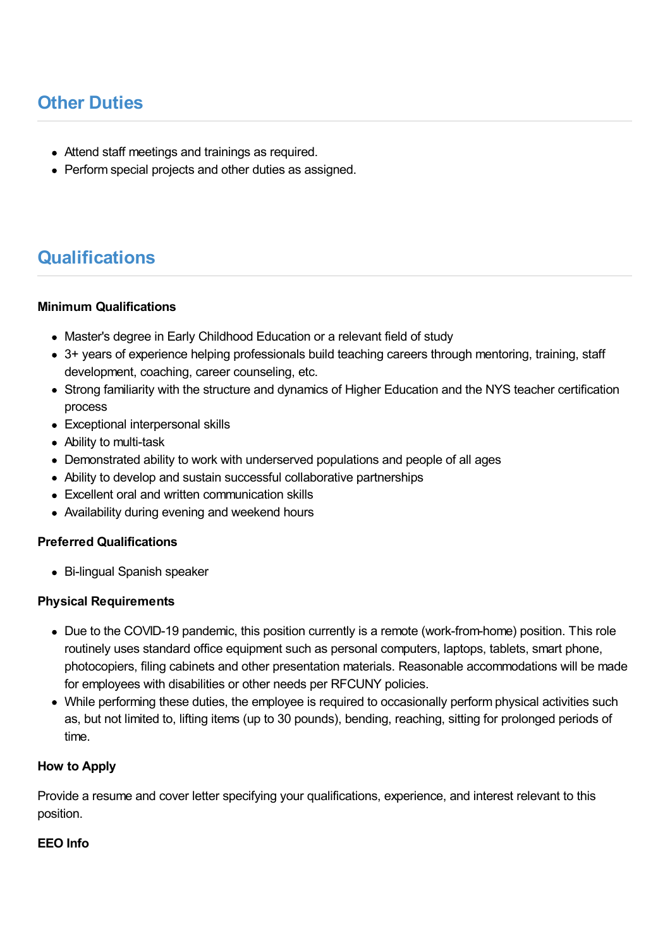## **Other Duties**

- Attend staff meetings and trainings as required.
- Perform special projects and other duties as assigned.

# **Qualifications**

#### **Minimum Qualifications**

- Master's degree in Early Childhood Education or a relevant field of study
- 3+ years of experience helping professionals build teaching careers through mentoring, training, staff development, coaching, career counseling, etc.
- Strong familiarity with the structure and dynamics of Higher Education and the NYS teacher certification process
- Exceptional interpersonal skills
- Ability to multi-task
- Demonstrated ability to work with underserved populations and people of all ages
- Ability to develop and sustain successful collaborative partnerships
- Excellent oral and written communication skills
- Availability during evening and weekend hours

## **Preferred Qualifications**

Bi-lingual Spanish speaker

#### **Physical Requirements**

- Due to the COVID-19 pandemic, this position currently is a remote (work-from-home) position. This role routinely uses standard office equipment such as personal computers, laptops, tablets, smart phone, photocopiers, filing cabinets and other presentation materials. Reasonable accommodations will be made for employees with disabilities or other needs per RFCUNY policies.
- While performing these duties, the employee is required to occasionally perform physical activities such as, but not limited to, lifting items (up to 30 pounds), bending, reaching, sitting for prolonged periods of time.

## **How to Apply**

Provide a resume and cover letter specifying your qualifications, experience, and interest relevant to this position.

## **EEO Info**